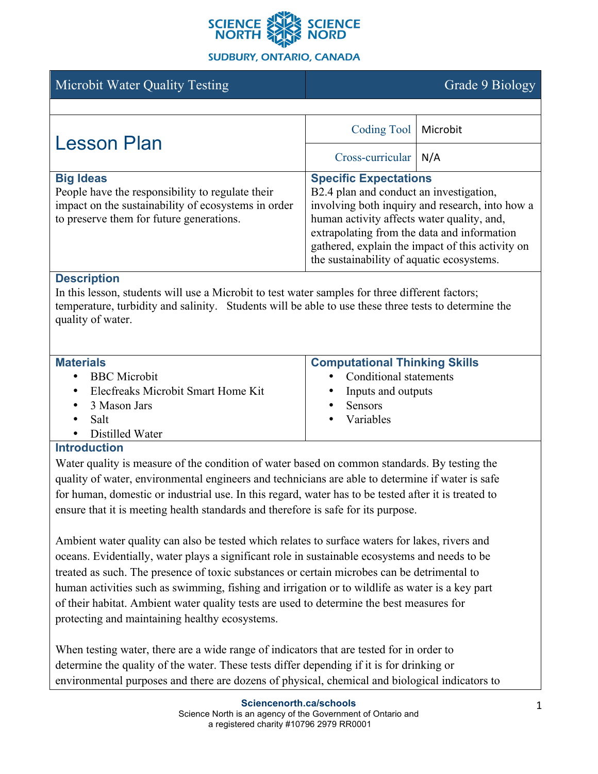

## **SUDBURY, ONTARIO, CANADA**

| Microbit Water Quality Testing                                                                                                                                                                                                                     |                                                                                                                                                                                                                                                                                                                          | Grade 9 Biology |
|----------------------------------------------------------------------------------------------------------------------------------------------------------------------------------------------------------------------------------------------------|--------------------------------------------------------------------------------------------------------------------------------------------------------------------------------------------------------------------------------------------------------------------------------------------------------------------------|-----------------|
|                                                                                                                                                                                                                                                    |                                                                                                                                                                                                                                                                                                                          |                 |
| Lesson Plan                                                                                                                                                                                                                                        | Coding Tool                                                                                                                                                                                                                                                                                                              | Microbit        |
|                                                                                                                                                                                                                                                    | Cross-curricular   N/A                                                                                                                                                                                                                                                                                                   |                 |
| <b>Big Ideas</b><br>People have the responsibility to regulate their<br>impact on the sustainability of ecosystems in order<br>to preserve them for future generations.                                                                            | <b>Specific Expectations</b><br>B2.4 plan and conduct an investigation,<br>involving both inquiry and research, into how a<br>human activity affects water quality, and,<br>extrapolating from the data and information<br>gathered, explain the impact of this activity on<br>the sustainability of aquatic ecosystems. |                 |
| <b>Description</b><br>In this lesson, students will use a Microbit to test water samples for three different factors;<br>temperature, turbidity and salinity. Students will be able to use these three tests to determine the<br>quality of water. |                                                                                                                                                                                                                                                                                                                          |                 |
| <b>Materials</b><br><b>BBC</b> Microbit<br>Elecfreaks Microbit Smart Home Kit<br>$\bullet$<br>3 Mason Jars<br>$\bullet$<br>Salt<br>Distilled Water<br><b>Introduction</b>                                                                          | <b>Computational Thinking Skills</b><br>Conditional statements<br>Inputs and outputs<br>Sensors<br>$\bullet$<br>Variables                                                                                                                                                                                                |                 |
|                                                                                                                                                                                                                                                    |                                                                                                                                                                                                                                                                                                                          |                 |

Water quality is measure of the condition of water based on common standards. By testing the quality of water, environmental engineers and technicians are able to determine if water is safe for human, domestic or industrial use. In this regard, water has to be tested after it is treated to ensure that it is meeting health standards and therefore is safe for its purpose.

Ambient water quality can also be tested which relates to surface waters for lakes, rivers and oceans. Evidentially, water plays a significant role in sustainable ecosystems and needs to be treated as such. The presence of toxic substances or certain microbes can be detrimental to human activities such as swimming, fishing and irrigation or to wildlife as water is a key part of their habitat. Ambient water quality tests are used to determine the best measures for protecting and maintaining healthy ecosystems.

When testing water, there are a wide range of indicators that are tested for in order to determine the quality of the water. These tests differ depending if it is for drinking or environmental purposes and there are dozens of physical, chemical and biological indicators to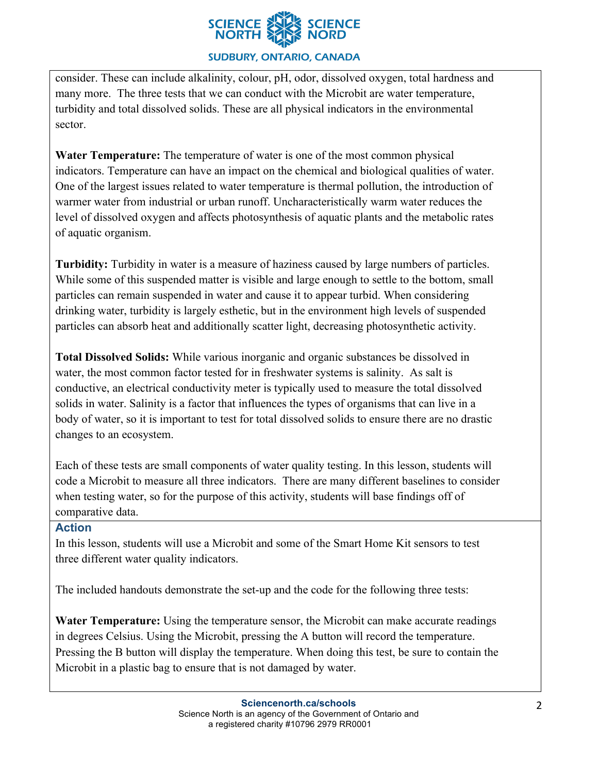

# **SUDBURY, ONTARIO, CANADA**

consider. These can include alkalinity, colour, pH, odor, dissolved oxygen, total hardness and many more. The three tests that we can conduct with the Microbit are water temperature, turbidity and total dissolved solids. These are all physical indicators in the environmental sector.

**Water Temperature:** The temperature of water is one of the most common physical indicators. Temperature can have an impact on the chemical and biological qualities of water. One of the largest issues related to water temperature is thermal pollution, the introduction of warmer water from industrial or urban runoff. Uncharacteristically warm water reduces the level of dissolved oxygen and affects photosynthesis of aquatic plants and the metabolic rates of aquatic organism.

**Turbidity:** Turbidity in water is a measure of haziness caused by large numbers of particles. While some of this suspended matter is visible and large enough to settle to the bottom, small particles can remain suspended in water and cause it to appear turbid. When considering drinking water, turbidity is largely esthetic, but in the environment high levels of suspended particles can absorb heat and additionally scatter light, decreasing photosynthetic activity.

**Total Dissolved Solids:** While various inorganic and organic substances be dissolved in water, the most common factor tested for in freshwater systems is salinity. As salt is conductive, an electrical conductivity meter is typically used to measure the total dissolved solids in water. Salinity is a factor that influences the types of organisms that can live in a body of water, so it is important to test for total dissolved solids to ensure there are no drastic changes to an ecosystem.

Each of these tests are small components of water quality testing. In this lesson, students will code a Microbit to measure all three indicators. There are many different baselines to consider when testing water, so for the purpose of this activity, students will base findings off of comparative data.

#### **Action**

In this lesson, students will use a Microbit and some of the Smart Home Kit sensors to test three different water quality indicators.

The included handouts demonstrate the set-up and the code for the following three tests:

**Water Temperature:** Using the temperature sensor, the Microbit can make accurate readings in degrees Celsius. Using the Microbit, pressing the A button will record the temperature. Pressing the B button will display the temperature. When doing this test, be sure to contain the Microbit in a plastic bag to ensure that is not damaged by water.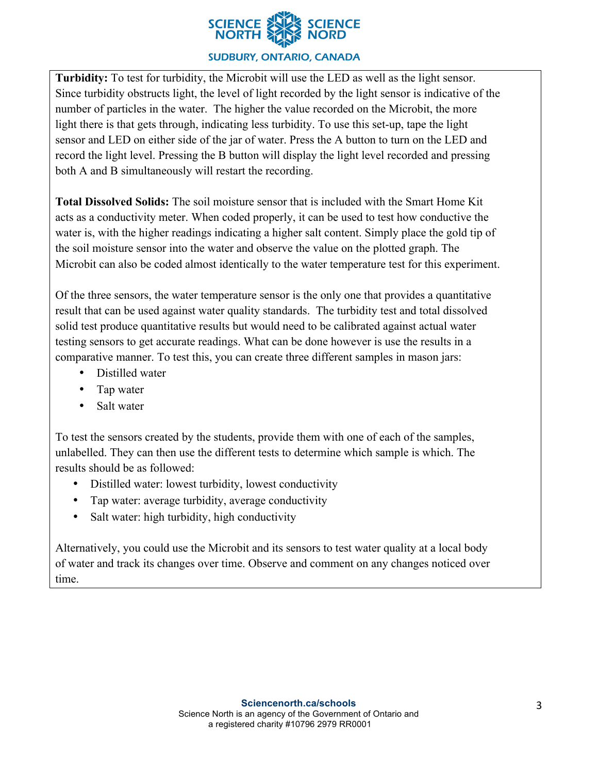

## **SUDBURY, ONTARIO, CANADA**

**Turbidity:** To test for turbidity, the Microbit will use the LED as well as the light sensor. Since turbidity obstructs light, the level of light recorded by the light sensor is indicative of the number of particles in the water. The higher the value recorded on the Microbit, the more light there is that gets through, indicating less turbidity. To use this set-up, tape the light sensor and LED on either side of the jar of water. Press the A button to turn on the LED and record the light level. Pressing the B button will display the light level recorded and pressing both A and B simultaneously will restart the recording.

**Total Dissolved Solids:** The soil moisture sensor that is included with the Smart Home Kit acts as a conductivity meter. When coded properly, it can be used to test how conductive the water is, with the higher readings indicating a higher salt content. Simply place the gold tip of the soil moisture sensor into the water and observe the value on the plotted graph. The Microbit can also be coded almost identically to the water temperature test for this experiment.

Of the three sensors, the water temperature sensor is the only one that provides a quantitative result that can be used against water quality standards. The turbidity test and total dissolved solid test produce quantitative results but would need to be calibrated against actual water testing sensors to get accurate readings. What can be done however is use the results in a comparative manner. To test this, you can create three different samples in mason jars:

- Distilled water
- Tap water
- Salt water

To test the sensors created by the students, provide them with one of each of the samples, unlabelled. They can then use the different tests to determine which sample is which. The results should be as followed:

- Distilled water: lowest turbidity, lowest conductivity
- Tap water: average turbidity, average conductivity
- Salt water: high turbidity, high conductivity

Alternatively, you could use the Microbit and its sensors to test water quality at a local body of water and track its changes over time. Observe and comment on any changes noticed over time.